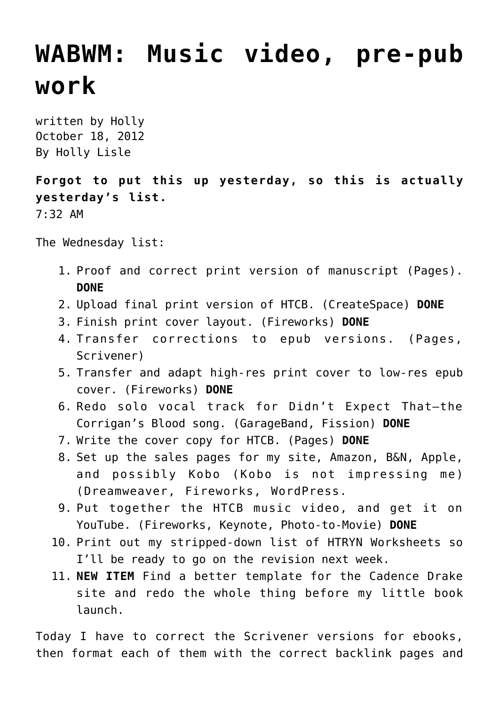## **[WABWM: Music video, pre-pub](https://hollylisle.com/wabwm-music-video-pre-pub-work/) [work](https://hollylisle.com/wabwm-music-video-pre-pub-work/)**

written by Holly October 18, 2012 [By Holly Lisle](https://hollylisle.com)

**Forgot to put this up yesterday, so this is actually yesterday's list.** 7:32 AM

The Wednesday list:

- 1. Proof and correct print version of manuscript (Pages). **DONE**
- 2. Upload final print version of HTCB. (CreateSpace) **DONE**
- 3. Finish print cover layout. (Fireworks) **DONE**
- 4. Transfer corrections to epub versions. (Pages, Scrivener)
- 5. Transfer and adapt high-res print cover to low-res epub cover. (Fireworks) **DONE**
- 6. Redo solo vocal track for Didn't Expect That—the Corrigan's Blood song. (GarageBand, Fission) **DONE**
- 7. Write the cover copy for HTCB. (Pages) **DONE**
- 8. Set up the sales pages for my site, Amazon, B&N, Apple, and possibly Kobo (Kobo is not impressing me) (Dreamweaver, Fireworks, WordPress.
- 9. Put together the HTCB music video, and get it on YouTube. (Fireworks, Keynote, Photo-to-Movie) **DONE**
- 10. Print out my stripped-down list of HTRYN Worksheets so I'll be ready to go on the revision next week.
- 11. **NEW ITEM** Find a better template for the Cadence Drake site and redo the whole thing before my little book launch.

Today I have to correct the Scrivener versions for ebooks, then format each of them with the correct backlink pages and